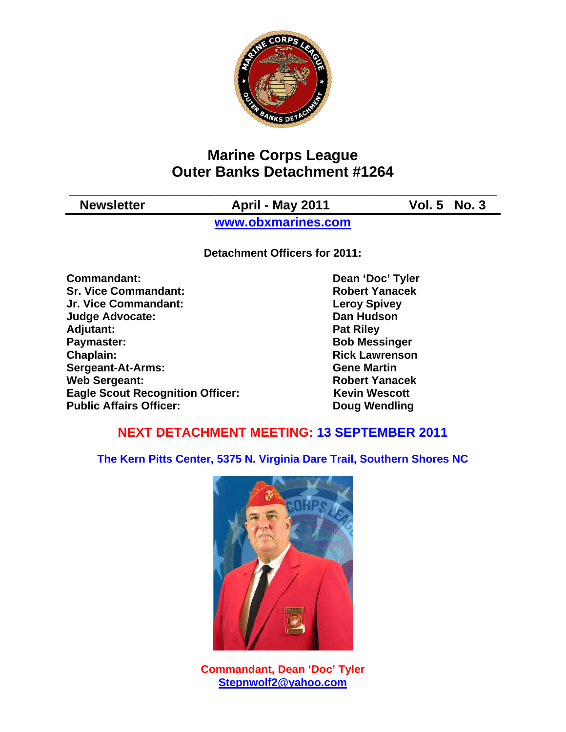

# **Marine Corps League Outer Banks Detachment #1264**

**\_\_\_\_\_\_\_\_\_\_\_\_\_\_\_\_\_\_\_\_\_\_\_\_\_\_\_\_\_\_\_\_\_\_\_\_\_\_\_\_\_\_\_\_\_\_\_\_\_\_\_\_**  Newsletter **April - May 2011** Vol. 5 No. 3

**www.obxmarines.com**

**Detachment Officers for 2011:** 

**Commandant:** Dean 'Doc' Tyler **Sr. Vice Commandant: Robert Yanacek Jr. Vice Commandant: Leroy Spivey Judge Advocate: Dan Hudson**  Adjutant: **Pat Riley Pat Riley Paymaster:** Bob Messinger **Chaplain: Chaplain: Rick Lawrenson Sergeant-At-Arms: Gene Martin Web Sergeant: Robert Yanacek Robert Yanacek Eagle Scout Recognition Officer:** Kevin Wescott **Public Affairs Officer:** Doug Wendling

## **NEXT DETACHMENT MEETING: 13 SEPTEMBER 2011**

**The Kern Pitts Center, 5375 N. Virginia Dare Trail, Southern Shores NC** 



**Commandant, Dean 'Doc' Tyler Stepnwolf2@yahoo.com**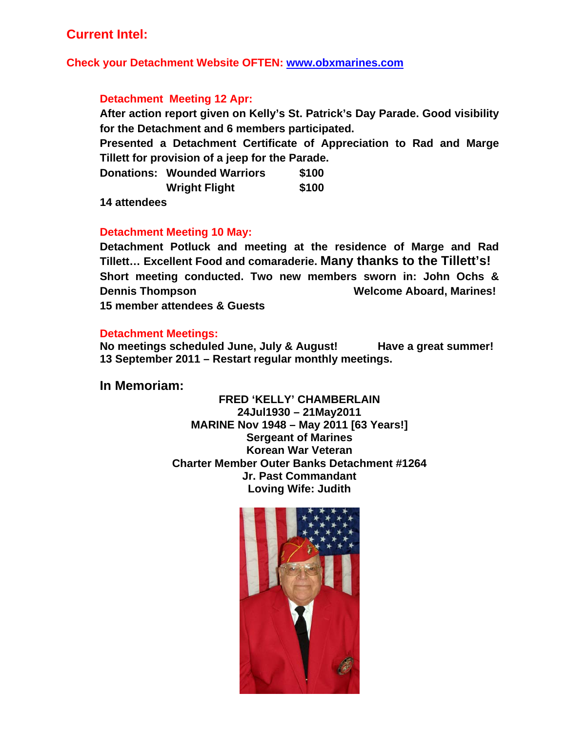## **Current Intel:**

**Check your Detachment Website OFTEN: www.obxmarines.com**

### **Detachment Meeting 12 Apr:**

**After action report given on Kelly's St. Patrick's Day Parade. Good visibility for the Detachment and 6 members participated.** 

**Presented a Detachment Certificate of Appreciation to Rad and Marge Tillett for provision of a jeep for the Parade.** 

|  | <b>Donations: Wounded Warriors</b> | \$100 |
|--|------------------------------------|-------|
|  | <b>Wright Flight</b>               | \$100 |

**14 attendees** 

### **Detachment Meeting 10 May:**

**Detachment Potluck and meeting at the residence of Marge and Rad Tillett… Excellent Food and comaraderie. Many thanks to the Tillett's! Short meeting conducted. Two new members sworn in: John Ochs & Dennis Thompson Welcome Aboard, Marines! 15 member attendees & Guests** 

#### **Detachment Meetings:**

**No meetings scheduled June, July & August! Have a great summer! 13 September 2011 – Restart regular monthly meetings.** 

**In Memoriam:** 

**FRED 'KELLY' CHAMBERLAIN 24Jul1930 – 21May2011 MARINE Nov 1948 – May 2011 [63 Years!] Sergeant of Marines Korean War Veteran Charter Member Outer Banks Detachment #1264 Jr. Past Commandant Loving Wife: Judith** 

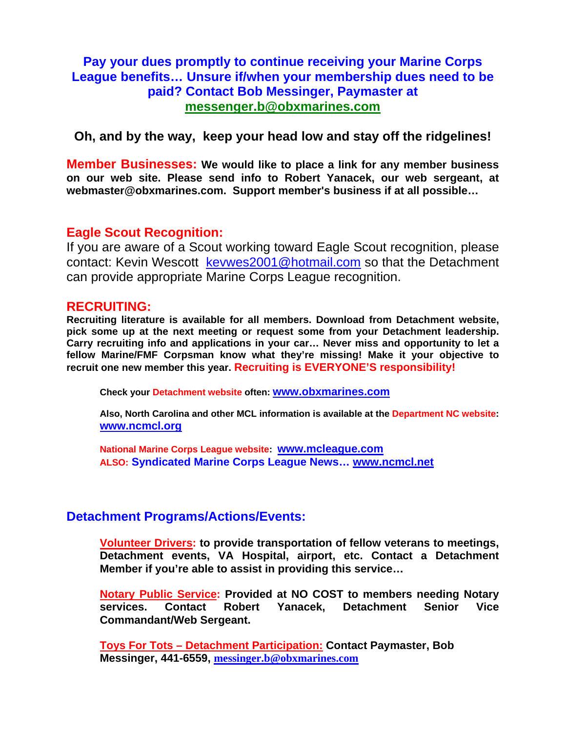## **Pay your dues promptly to continue receiving your Marine Corps League benefits… Unsure if/when your membership dues need to be paid? Contact Bob Messinger, Paymaster at messenger.b@obxmarines.com**

**Oh, and by the way, keep your head low and stay off the ridgelines!** 

**Member Businesses: We would like to place a link for any member business on our web site. Please send info to Robert Yanacek, our web sergeant, at webmaster@obxmarines.com. Support member's business if at all possible…** 

### **Eagle Scout Recognition:**

If you are aware of a Scout working toward Eagle Scout recognition, please contact: Kevin Wescott kevwes2001@hotmail.com so that the Detachment can provide appropriate Marine Corps League recognition.

### **RECRUITING:**

**Recruiting literature is available for all members. Download from Detachment website, pick some up at the next meeting or request some from your Detachment leadership. Carry recruiting info and applications in your car… Never miss and opportunity to let a fellow Marine/FMF Corpsman know what they're missing! Make it your objective to recruit one new member this year. Recruiting is EVERYONE'S responsibility!** 

**Check your Detachment website often: www.obxmarines.com**

**Also, North Carolina and other MCL information is available at the Department NC website: www.ncmcl.org** 

**National Marine Corps League website: www.mcleague.com ALSO: Syndicated Marine Corps League News… www.ncmcl.net** 

### **Detachment Programs/Actions/Events:**

**Volunteer Drivers: to provide transportation of fellow veterans to meetings, Detachment events, VA Hospital, airport, etc. Contact a Detachment Member if you're able to assist in providing this service…** 

**Notary Public Service: Provided at NO COST to members needing Notary services. Contact Robert Yanacek, Detachment Senior Vice Commandant/Web Sergeant.** 

**Toys For Tots – Detachment Participation: Contact Paymaster, Bob Messinger, 441-6559, messinger.b@obxmarines.com**